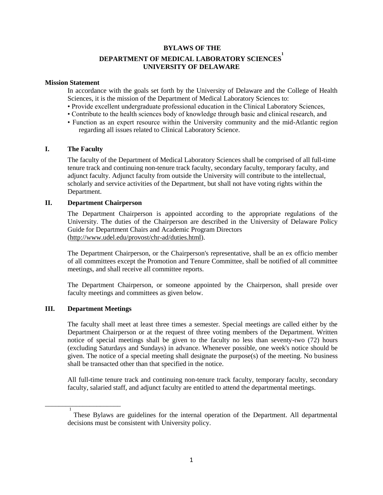## **BYLAWS OF THE**

# **DEPARTMENT OF MEDICAL LABORATORY SCIENCES 1 UNIVERSITY OF DELAWARE**

#### **Mission Statement**

In accordance with the goals set forth by the University of Delaware and the College of Health Sciences, it is the mission of the Department of Medical Laboratory Sciences to:

- Provide excellent undergraduate professional education in the Clinical Laboratory Sciences,
- Contribute to the health sciences body of knowledge through basic and clinical research, and
- Function as an expert resource within the University community and the mid-Atlantic region regarding all issues related to Clinical Laboratory Science.

## **I. The Faculty**

The faculty of the Department of Medical Laboratory Sciences shall be comprised of all full-time tenure track and continuing non-tenure track faculty, secondary faculty, temporary faculty, and adjunct faculty. Adjunct faculty from outside the University will contribute to the intellectual, scholarly and service activities of the Department, but shall not have voting rights within the Department.

#### **II. Department Chairperson**

The Department Chairperson is appointed according to the appropriate regulations of the University. The duties of the Chairperson are described in the University of Delaware Policy Guide for Department Chairs and Academic Program Directors [\(http://www.udel.edu/provost/chr-ad/duties.html\)](http://www.udel.edu/provost/chr-ad/duties.html).

The Department Chairperson, or the Chairperson's representative, shall be an ex officio member of all committees except the Promotion and Tenure Committee, shall be notified of all committee meetings, and shall receive all committee reports.

The Department Chairperson, or someone appointed by the Chairperson, shall preside over faculty meetings and committees as given below.

#### **III. Department Meetings**

\_\_\_\_\_\_\_\_\_\_\_\_\_\_\_\_\_\_\_\_\_\_

1

The faculty shall meet at least three times a semester. Special meetings are called either by the Department Chairperson or at the request of three voting members of the Department. Written notice of special meetings shall be given to the faculty no less than seventy-two (72) hours (excluding Saturdays and Sundays) in advance. Whenever possible, one week's notice should be given. The notice of a special meeting shall designate the purpose(s) of the meeting. No business shall be transacted other than that specified in the notice.

All full-time tenure track and continuing non-tenure track faculty, temporary faculty, secondary faculty, salaried staff, and adjunct faculty are entitled to attend the departmental meetings.

These Bylaws are guidelines for the internal operation of the Department. All departmental decisions must be consistent with University policy.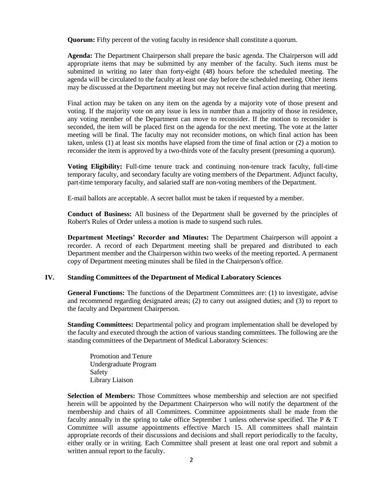**Quorum:** Fifty percent of the voting faculty in residence shall constitute a quorum.

**Agenda:** The Department Chairperson shall prepare the basic agenda. The Chairperson will add appropriate items that may be submitted by any member of the faculty. Such items must be submitted in writing no later than forty-eight (48) hours before the scheduled meeting. The agenda will be circulated to the faculty at least one day before the scheduled meeting. Other items may be discussed at the Department meeting but may not receive final action during that meeting.

Final action may be taken on any item on the agenda by a majority vote of those present and voting. If the majority vote on any issue is less in number than a majority of those in residence, any voting member of the Department can move to reconsider. If the motion to reconsider is seconded, the item will be placed first on the agenda for the next meeting. The vote at the latter meeting will be final. The faculty may not reconsider motions, on which final action has been taken, unless (1) at least six months have elapsed from the time of final action or (2) a motion to reconsider the item is approved by a two-thirds vote of the faculty present (presuming a quorum).

**Voting Eligibility:** Full-time tenure track and continuing non-tenure track faculty, full-time temporary faculty, and secondary faculty are voting members of the Department. Adjunct faculty, part-time temporary faculty, and salaried staff are non-voting members of the Department.

E-mail ballots are acceptable. A secret ballot must be taken if requested by a member.

**Conduct of Business:** All business of the Department shall be governed by the principles of Robert's Rules of Order unless a motion is made to suspend such rules.

**Department Meetings' Recorder and Minutes:** The Department Chairperson will appoint a recorder. A record of each Department meeting shall be prepared and distributed to each Department member and the Chairperson within two weeks of the meeting reported. A permanent copy of Department meeting minutes shall be filed in the Chairperson's office.

# **IV. Standing Committees of the Department of Medical Laboratory Sciences**

**General Functions:** The functions of the Department Committees are: (1) to investigate, advise and recommend regarding designated areas; (2) to carry out assigned duties; and (3) to report to the faculty and Department Chairperson.

**Standing Committees:** Departmental policy and program implementation shall be developed by the faculty and executed through the action of various standing committees. The following are the standing committees of the Department of Medical Laboratory Sciences:

Promotion and Tenure Undergraduate Program Safety Library Liaison

**Selection of Members:** Those Committees whose membership and selection are not specified herein will be appointed by the Department Chairperson who will notify the department of the membership and chairs of all Committees. Committee appointments shall be made from the faculty annually in the spring to take office September 1 unless otherwise specified. The  $P \& T$ Committee will assume appointments effective March 15. All committees shall maintain appropriate records of their discussions and decisions and shall report periodically to the faculty, either orally or in writing. Each Committee shall present at least one oral report and submit a written annual report to the faculty.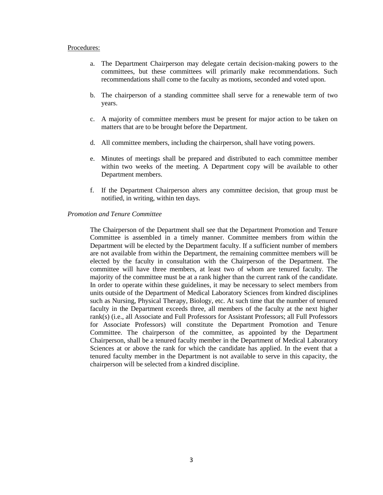#### Procedures:

- a. The Department Chairperson may delegate certain decision-making powers to the committees, but these committees will primarily make recommendations. Such recommendations shall come to the faculty as motions, seconded and voted upon.
- b. The chairperson of a standing committee shall serve for a renewable term of two years.
- c. A majority of committee members must be present for major action to be taken on matters that are to be brought before the Department.
- d. All committee members, including the chairperson, shall have voting powers.
- e. Minutes of meetings shall be prepared and distributed to each committee member within two weeks of the meeting. A Department copy will be available to other Department members.
- f. If the Department Chairperson alters any committee decision, that group must be notified, in writing, within ten days.

## *Promotion and Tenure Committee*

The Chairperson of the Department shall see that the Department Promotion and Tenure Committee is assembled in a timely manner. Committee members from within the Department will be elected by the Department faculty. If a sufficient number of members are not available from within the Department, the remaining committee members will be elected by the faculty in consultation with the Chairperson of the Department. The committee will have three members, at least two of whom are tenured faculty. The majority of the committee must be at a rank higher than the current rank of the candidate. In order to operate within these guidelines, it may be necessary to select members from units outside of the Department of Medical Laboratory Sciences from kindred disciplines such as Nursing, Physical Therapy, Biology, etc. At such time that the number of tenured faculty in the Department exceeds three, all members of the faculty at the next higher rank(s) (i.e., all Associate and Full Professors for Assistant Professors; all Full Professors for Associate Professors) will constitute the Department Promotion and Tenure Committee. The chairperson of the committee, as appointed by the Department Chairperson, shall be a tenured faculty member in the Department of Medical Laboratory Sciences at or above the rank for which the candidate has applied. In the event that a tenured faculty member in the Department is not available to serve in this capacity, the chairperson will be selected from a kindred discipline.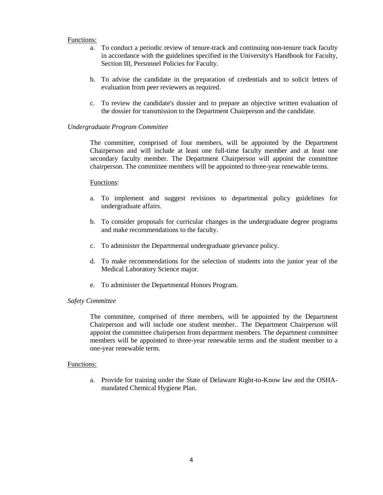#### Functions:

- a. To conduct a periodic review of tenure-track and continuing non-tenure track faculty in accordance with the guidelines specified in the University's Handbook for Faculty, Section III, Personnel Policies for Faculty.
- b. To advise the candidate in the preparation of credentials and to solicit letters of evaluation from peer reviewers as required.
- c. To review the candidate's dossier and to prepare an objective written evaluation of the dossier for transmission to the Department Chairperson and the candidate.

#### *Undergraduate Program Committee*

The committee, comprised of four members, will be appointed by the Department Chairperson and will include at least one full-time faculty member and at least one secondary faculty member. The Department Chairperson will appoint the committee chairperson. The committee members will be appointed to three-year renewable terms.

#### Functions:

- a. To implement and suggest revisions to departmental policy guidelines for undergraduate affairs.
- b. To consider proposals for curricular changes in the undergraduate degree programs and make recommendations to the faculty.
- c. To administer the Departmental undergraduate grievance policy.
- d. To make recommendations for the selection of students into the junior year of the Medical Laboratory Science major.
- e. To administer the Departmental Honors Program.

## *Safety Committee*

The committee, comprised of three members, will be appointed by the Department Chairperson and will include one student member.. The Department Chairperson will appoint the committee chairperson from department members. The department committee members will be appointed to three-year renewable terms and the student member to a one-year renewable term.

#### Functions:

a. Provide for training under the State of Delaware Right-to-Know law and the OSHAmandated Chemical Hygiene Plan.